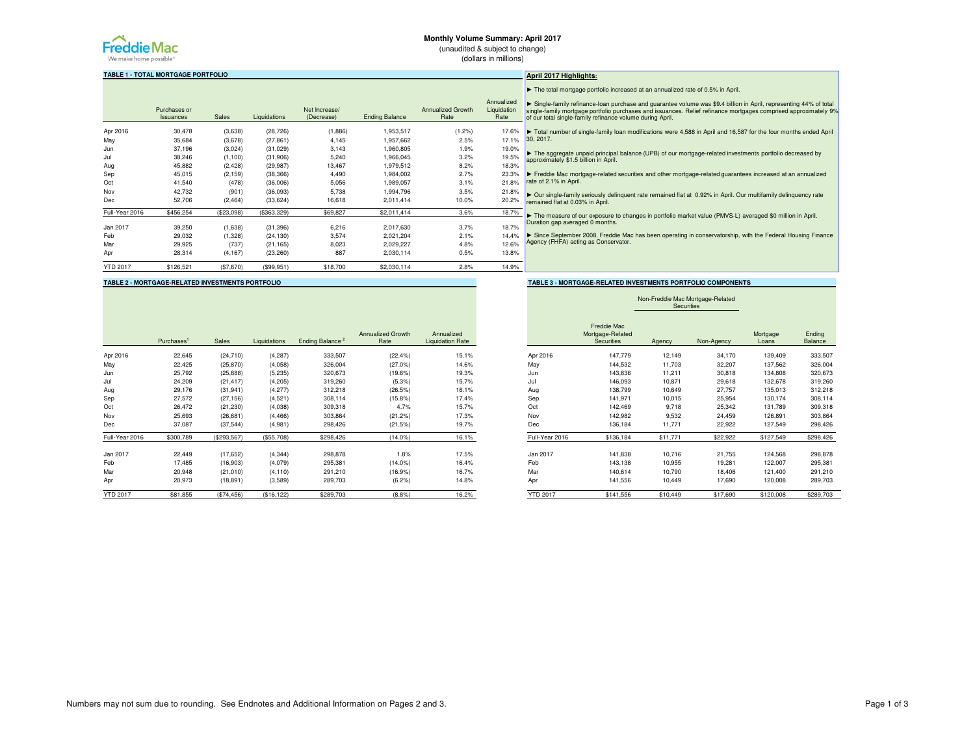

# **Monthly Volume Summary: April 2017**

(unaudited & subject to change)(dollars in millions)

**TABLE 1 - TOTAL MORTGAGE PORTFOLIO**

|                 | Purchases or<br>Issuances | Sales      | Liquidations | Net Increase/<br>(Decrease) | <b>Ending Balance</b> | <b>Annualized Growth</b><br>Rate | Annualized<br>Liquidation<br>Rate |
|-----------------|---------------------------|------------|--------------|-----------------------------|-----------------------|----------------------------------|-----------------------------------|
| Apr 2016        | 30,478                    | (3,638)    | (28, 726)    | (1,886)                     | 1,953,517             | (1.2%                            | 17.6%                             |
| May             | 35,684                    | (3,678)    | (27, 861)    | 4,145                       | 1,957,662             | 2.5%                             | 17.1%                             |
| Jun             | 37,196                    | (3,024)    | (31, 029)    | 3,143                       | 1,960,805             | 1.9%                             | 19.0%                             |
| Jul             | 38,246                    | (1, 100)   | (31,906)     | 5,240                       | 1,966,045             | 3.2%                             | 19.5%                             |
| Aug             | 45.882                    | (2, 428)   | (29, 987)    | 13.467                      | 1.979.512             | 8.2%                             | 18.3%                             |
| Sep             | 45,015                    | (2, 159)   | (38, 366)    | 4,490                       | 1.984.002             | 2.7%                             | 23.3%                             |
| Oct             | 41,540                    | (478)      | (36,006)     | 5,056                       | 1,989,057             | 3.1%                             | 21.8%                             |
| Nov             | 42.732                    | (901)      | (36,093)     | 5.738                       | 1.994.796             | 3.5%                             | 21.8%                             |
| <b>Dec</b>      | 52,706                    | (2, 464)   | (33, 624)    | 16,618                      | 2,011,414             | 10.0%                            | 20.2%                             |
| Full-Year 2016  | \$456,254                 | (\$23,098) | (\$363,329)  | \$69,827                    | \$2,011,414           | 3.6%                             | 18.7%                             |
| Jan 2017        | 39,250                    | (1,638)    | (31, 396)    | 6,216                       | 2,017,630             | 3.7%                             | 18.7%                             |
| Feb             | 29,032                    | (1,328)    | (24, 130)    | 3,574                       | 2,021,204             | 2.1%                             | 14.4%                             |
| Mar             | 29,925                    | (737)      | (21, 165)    | 8,023                       | 2.029.227             | 4.8%                             | 12.6%                             |
| Apr             | 28,314                    | (4, 167)   | (23, 260)    | 887                         | 2,030,114             | 0.5%                             | 13.8%                             |
| <b>YTD 2017</b> | \$126,521                 | (\$7,870)  | (\$99.951)   | \$18,700                    | \$2,030,114           | 2.8%                             | 14.9%                             |

# **April 2017 Highlights:**

 $\blacktriangleright$  The total mortgage portfolio increased at an annualized rate of 0.5% in April.

ed<sup>.</sup> ▶ Single-family refinance-loan purchase and guarantee volume was \$9.4 billion in April, representing 44% of total<br>single-family mortgage portfolio purchases and issuances. Relief refinance mortgages comprised approximatel

 $\%$  30, 2017. ► Total number of single-family loan modifications were 4,588 in April and 16,587 for the four months ended April

 $0\%$ 5% ► The aggregate unpaid principal balance (UPB) of our mortgage-related investments portfolio decreased by<br>approximately \$1.5 billion in April approximately \$1.5 billion in April.

% Ereddie Mac mortgage-related securities and other mortgage-related guarantees increased at an annualized<br>over tate of 2.1% in Anril rate of 2.1% in April.

 $.8%$  $2%$ ► Our single-family seriously delinquent rate remained flat at 0.92% in April. Our multifamily delinquency rate remained flat at 0.03% in April.

► The measure of our exposure to changes in portfolio market value (PMVS-L) averaged \$0 million in April. Duration gap averaged 0 months.

 $.4%$  $.6%$ ► Since September 2008, Freddie Mac has been operating in conservatorship, with the Federal Housing Finance Agency (FHFA) acting as Conservator.

> Non-Freddie Mac Mortgage-Related Securities

**TABLE 2 - MORTGAGE-RELATED INVESTMENTS PORTFOLIO TABLE 3 - MORTGAGE-RELATED INVESTMENTS PORTFOLIO COMPONENTS** 

|                 |                        |             |              |                             |                                  |                                       |                 |                                               | ------------ |            |                   |                   |
|-----------------|------------------------|-------------|--------------|-----------------------------|----------------------------------|---------------------------------------|-----------------|-----------------------------------------------|--------------|------------|-------------------|-------------------|
|                 | Purchases <sup>1</sup> | Sales       | Liquidations | Ending Balance <sup>2</sup> | <b>Annualized Growth</b><br>Rate | Annualized<br><b>Liquidation Rate</b> |                 | Freddie Mac<br>Mortgage-Related<br>Securities | Agency       | Non-Agency | Mortgage<br>Loans | Ending<br>Balance |
| Apr 2016        | 22,645                 | (24, 710)   | (4, 287)     | 333,507                     | (22.4%                           | 15.1%                                 | Apr 2016        | 147,779                                       | 12,149       | 34,170     | 139,409           | 333,507           |
| Mav             | 22,425                 | (25, 870)   | (4.058)      | 326,004                     | $(27.0\%)$                       | 14.6%                                 | May             | 144,532                                       | 11,703       | 32,207     | 137,562           | 326,004           |
| Jun             | 25,792                 | (25, 888)   | (5, 235)     | 320,673                     | $(19.6\%)$                       | 19.3%                                 | Jun             | 143,836                                       | 11,211       | 30,818     | 134,808           | 320,673           |
| Jul             | 24,209                 | (21, 417)   | (4, 205)     | 319,260                     | (5.3%)                           | 15.7%                                 | Jul             | 146,093                                       | 10,871       | 29,618     | 132,678           | 319,260           |
| Aug             | 29,176                 | (31, 941)   | (4,277)      | 312,218                     | (26.5%)                          | 16.1%                                 | Aug             | 138,799                                       | 10,649       | 27,757     | 135,013           | 312,218           |
| Sep             | 27,572                 | (27, 156)   | (4,521)      | 308,114                     | $(15.8\%)$                       | 17.4%                                 | Sep             | 141,971                                       | 10,015       | 25,954     | 130,174           | 308,114           |
| Oct             | 26,472                 | (21, 230)   | (4.038)      | 309,318                     | 4.7%                             | 15.7%                                 | Oct             | 142,469                                       | 9,718        | 25,342     | 131,789           | 309,318           |
| Nov             | 25,693                 | (26, 681)   | (4, 466)     | 303,864                     | (21.2%                           | 17.3%                                 | Nov             | 142,982                                       | 9,532        | 24,459     | 126,891           | 303,864           |
| Dec             | 37,087                 | (37, 544)   | (4,981)      | 298,426                     | (21.5%)                          | 19.7%                                 | Dec             | 136,184                                       | 11,771       | 22,922     | 127,549           | 298,426           |
| Full-Year 2016  | \$300,789              | (\$293,567) | (\$55,708)   | \$298,426                   | $(14.0\%)$                       | 16.1%                                 | Full-Year 2016  | \$136,184                                     | \$11,771     | \$22,922   | \$127,549         | \$298,426         |
| Jan 2017        | 22,449                 | (17, 652)   | (4, 344)     | 298,878                     | 1.8%                             | 17.5%                                 | Jan 2017        | 141,838                                       | 10,716       | 21,755     | 124,568           | 298,878           |
| Feb             | 17,485                 | (16,903)    | (4.079)      | 295,381                     | $(14.0\%)$                       | 16.4%                                 | Feb             | 143,138                                       | 10,955       | 19,281     | 122,007           | 295,381           |
| Mar             | 20,948                 | (21,010)    | (4, 110)     | 291,210                     | (16.9%                           | 16.7%                                 | Mar             | 140,614                                       | 10,790       | 18,406     | 121,400           | 291,210           |
| Apr             | 20,973                 | (18, 891)   | (3,589)      | 289,703                     | (6.2%)                           | 14.8%                                 | Apr             | 141,556                                       | 10,449       | 17,690     | 120,008           | 289,703           |
| <b>YTD 2017</b> | \$81,855               | (\$74,456)  | (\$16, 122)  | \$289,703                   | (8.8%)                           | 16.2%                                 | <b>YTD 2017</b> | \$141,556                                     | \$10,449     | \$17,690   | \$120,008         | \$289,703         |
|                 |                        |             |              |                             |                                  |                                       |                 |                                               |              |            |                   |                   |

| Numbers may not sum due to rounding. See Endnotes and Additional Information on Pages 2 and 3. |  |
|------------------------------------------------------------------------------------------------|--|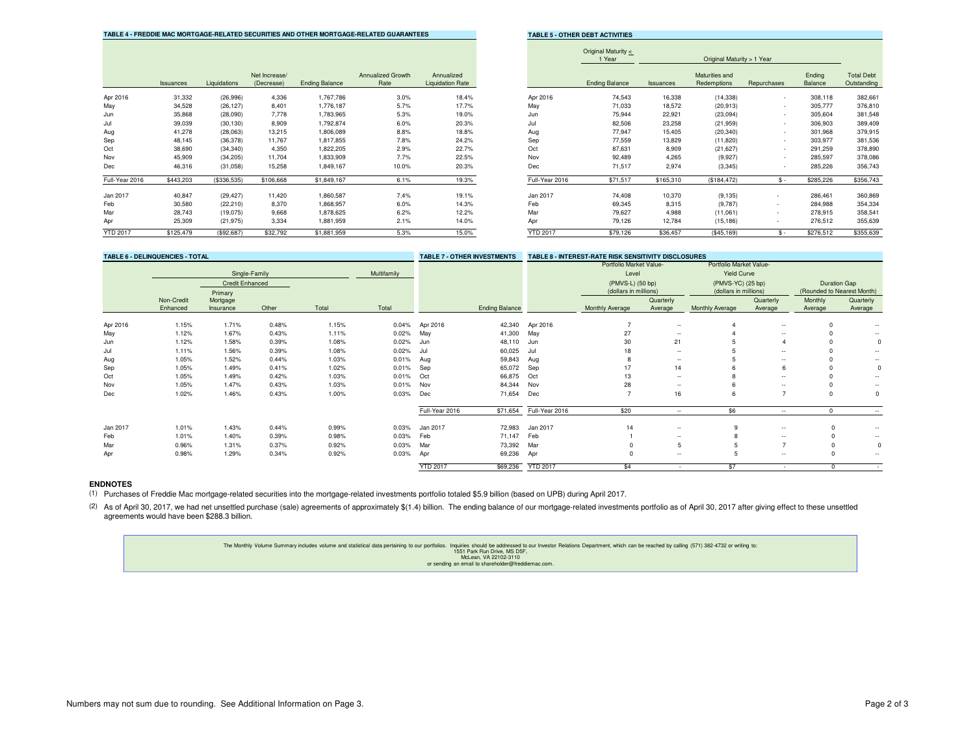| TABLE 4 - FREDDIE MAC MORTGAGE-RELATED SECURITIES AND OTHER MORTGAGE-RELATED GUARANTEES |  |  |
|-----------------------------------------------------------------------------------------|--|--|
|                                                                                         |  |  |

**TABLE 5 - OTHER DEBT ACTIVITIES** 

|                 |           |              |                             |                       |                                  |                                       |                 | $O(\frac{m}{2})$<br>1 Year |           | Original Maturity > 1 Year    |                          |                   |                                  |
|-----------------|-----------|--------------|-----------------------------|-----------------------|----------------------------------|---------------------------------------|-----------------|----------------------------|-----------|-------------------------------|--------------------------|-------------------|----------------------------------|
|                 | Issuances | Liquidations | Net Increase/<br>(Decrease) | <b>Ending Balance</b> | <b>Annualized Growth</b><br>Rate | Annualized<br><b>Liquidation Rate</b> |                 | <b>Ending Balance</b>      | Issuances | Maturities and<br>Redemptions | Repurchases              | Ending<br>Balance | <b>Total Debt</b><br>Outstanding |
| Apr 2016        | 31,332    | (26,996)     | 4,336                       | 1,767,786             | 3.0%                             | 18.4%                                 | Apr 2016        | 74,543                     | 16,338    | (14, 338)                     |                          | 308,118           | 382,661                          |
| May             | 34,528    | (26, 127)    | 8.401                       | 1,776,187             | 5.7%                             | 17.7%                                 | May             | 71,033                     | 18,572    | (20, 913)                     | $\sim$                   | 305,777           | 376,810                          |
| Jun             | 35,868    | (28,090)     | 7.778                       | 1,783,965             | 5.3%                             | 19.0%                                 | Jun             | 75,944                     | 22,921    | (23,094)                      | $\overline{\phantom{a}}$ | 305,604           | 381,548                          |
| Jul             | 39,039    | (30, 130)    | 8,909                       | 1,792,874             | 6.0%                             | 20.3%                                 | Jul             | 82,506                     | 23,258    | (21, 959)                     | $\sim$                   | 306,903           | 389,409                          |
| Aug             | 41,278    | (28,063)     | 13,215                      | 1,806,089             | 8.8%                             | 18.8%                                 | Aug             | 77,947                     | 15,405    | (20, 340)                     |                          | 301,968           | 379,915                          |
| Sep             | 48,145    | (36, 378)    | 11,767                      | 1,817,855             | 7.8%                             | 24.2%                                 | Sep             | 77,559                     | 13,829    | (11, 820)                     | $\sim$                   | 303,977           | 381,536                          |
| Oct             | 38,690    | (34, 340)    | 4,350                       | 1,822,205             | 2.9%                             | 22.7%                                 | Oct             | 87,631                     | 8,909     | (21, 627)                     | $\overline{\phantom{a}}$ | 291,259           | 378,890                          |
| Nov             | 45,909    | (34, 205)    | 11,704                      | 1,833,909             | 7.7%                             | 22.5%                                 | Nov             | 92,489                     | 4,265     | (9,927)                       | $\sim$                   | 285,597           | 378,086                          |
| Dec             | 46,316    | (31,058)     | 15,258                      | 1,849,167             | 10.0%                            | 20.3%                                 | Dec             | 71,517                     | 2,974     | (3, 345)                      |                          | 285,226           | 356,743                          |
| Full-Year 2016  | \$443,203 | (\$336,535)  | \$106,668                   | \$1,849,167           | 6.1%                             | 19.3%                                 | Full-Year 2016  | \$71,517                   | \$165,310 | (\$184,472)                   | $S -$                    | \$285,226         | \$356,743                        |
| Jan 2017        | 40,847    | (29, 427)    | 11,420                      | 1,860,587             | 7.4%                             | 19.1%                                 | Jan 2017        | 74,408                     | 10,370    | (9, 135)                      |                          | 286,461           | 360,869                          |
| Feb             | 30,580    | (22, 210)    | 8,370                       | 1,868,957             | 6.0%                             | 14.3%                                 | Feb             | 69,345                     | 8,315     | (9,787)                       | $\sim$                   | 284,988           | 354,334                          |
| Mar             | 28,743    | (19,075)     | 9,668                       | 1,878,625             | 6.2%                             | 12.2%                                 | Mar             | 79,627                     | 4,988     | (11,061)                      | $\sim$                   | 278,915           | 358,541                          |
| Apr             | 25,309    | (21, 975)    | 3,334                       | 1,881,959             | 2.1%                             | 14.0%                                 | Apr             | 79,126                     | 12,784    | (15, 186)                     | $\overline{\phantom{a}}$ | 276,512           | 355,639                          |
| <b>YTD 2017</b> | \$125,479 | (S92.687)    | \$32,792                    | \$1,881,959           | 5.3%                             | 15.0%                                 | <b>YTD 2017</b> | \$79,126                   | \$36.457  | (\$45,169)                    | $$ -$                    | \$276,512         | \$355,639                        |

|     |                                       |                 | Original Maturity <<br>1 Year<br>Original Maturity > 1 Year |           |                               |             |                   |                                  |  |  |  |
|-----|---------------------------------------|-----------------|-------------------------------------------------------------|-----------|-------------------------------|-------------|-------------------|----------------------------------|--|--|--|
| wth | Annualized<br><b>Liquidation Rate</b> |                 | <b>Ending Balance</b>                                       | Issuances | Maturities and<br>Redemptions | Repurchases | Ending<br>Balance | <b>Total Debt</b><br>Outstanding |  |  |  |
| .0% | 18.4%                                 | Apr 2016        | 74,543                                                      | 16,338    | (14, 338)                     | ٠           | 308,118           | 382,661                          |  |  |  |
| .7% | 17.7%                                 | May             | 71,033                                                      | 18.572    | (20.913)                      | ۰           | 305,777           | 376,810                          |  |  |  |
| .3% | 19.0%                                 | Jun             | 75,944                                                      | 22,921    | (23,094)                      | ۰           | 305,604           | 381,548                          |  |  |  |
| .0% | 20.3%                                 | Jul             | 82,506                                                      | 23,258    | (21, 959)                     | ٠           | 306,903           | 389,409                          |  |  |  |
| .8% | 18.8%                                 | Aug             | 77,947                                                      | 15,405    | (20, 340)                     | ٠           | 301,968           | 379,915                          |  |  |  |
| .8% | 24.2%                                 | Sep             | 77,559                                                      | 13,829    | (11, 820)                     | ۰           | 303,977           | 381,536                          |  |  |  |
| .9% | 22.7%                                 | Oct             | 87,631                                                      | 8,909     | (21, 627)                     | ٠           | 291,259           | 378,890                          |  |  |  |
| .7% | 22.5%                                 | Nov             | 92,489                                                      | 4,265     | (9.927)                       | ٠           | 285,597           | 378,086                          |  |  |  |
| .0% | 20.3%                                 | <b>Dec</b>      | 71,517                                                      | 2,974     | (3, 345)                      | ٠           | 285,226           | 356,743                          |  |  |  |
| .1% | 19.3%                                 | Full-Year 2016  | \$71,517                                                    | \$165,310 | (\$184, 472)                  | $S -$       | \$285,226         | \$356,743                        |  |  |  |
| .4% | 19.1%                                 | Jan 2017        | 74,408                                                      | 10,370    | (9, 135)                      | ٠           | 286,461           | 360,869                          |  |  |  |
| .0% | 14.3%                                 | Feb             | 69.345                                                      | 8.315     | (9,787)                       | ۰           | 284,988           | 354,334                          |  |  |  |
| 2%  | 12.2%                                 | Mar             | 79,627                                                      | 4,988     | (11,061)                      | ٠           | 278,915           | 358,541                          |  |  |  |
| .1% | 14.0%                                 | Apr             | 79,126                                                      | 12,784    | (15, 186)                     | ٠           | 276,512           | 355,639                          |  |  |  |
| .3% | 15.0%                                 | <b>YTD 2017</b> | \$79,126                                                    | \$36,457  | (\$45,169)                    | $S -$       | \$276,512         | \$355,639                        |  |  |  |

| <b>TABLE 6 - DELINQUENCIES - TOTAL</b> |                        |                        |       |       |             |                 | <b>TABLE 7 - OTHER INVESTMENTS</b> |                 | <b>TABLE 8 - INTEREST-RATE RISK SENSITIVITY DISCLOSURES</b> |                                  |                        |                                               |                            |                          |
|----------------------------------------|------------------------|------------------------|-------|-------|-------------|-----------------|------------------------------------|-----------------|-------------------------------------------------------------|----------------------------------|------------------------|-----------------------------------------------|----------------------------|--------------------------|
|                                        | Single-Family          |                        |       |       | Multifamily |                 |                                    |                 |                                                             | Portfolio Market Value-<br>Level |                        | Portfolio Market Value-<br><b>Yield Curve</b> |                            |                          |
|                                        |                        | <b>Credit Enhanced</b> |       |       |             |                 |                                    |                 | (PMVS-L) (50 bp)                                            |                                  | (PMVS-YC) (25 bp)      |                                               |                            | <b>Duration Gap</b>      |
|                                        |                        | Primary                |       |       |             |                 |                                    |                 | (dollars in millions)                                       |                                  | (dollars in millions)  |                                               | (Rounded to Nearest Month) |                          |
|                                        | Non-Credit<br>Enhanced | Mortgage<br>Insurance  | Other | Total | Total       |                 | <b>Ending Balance</b>              |                 | Monthly Average                                             | Quarterly<br>Average             | <b>Monthly Average</b> | Quarterly<br>Average                          | Monthly<br>Average         | Quarterly<br>Average     |
| Apr 2016                               | 1.15%                  | 1.71%                  | 0.48% | 1.15% | 0.04%       | Apr 2016        | 42,340                             | Apr 2016        | $\overline{7}$                                              | $\sim$                           |                        | $\sim$                                        |                            |                          |
| May                                    | 1.12%                  | 1.67%                  | 0.43% | 1.11% | 0.02%       | May             | 41,300                             | May             | 27                                                          | $\sim$                           |                        | $\sim$                                        |                            | $\overline{\phantom{a}}$ |
| Jun                                    | 1.12%                  | 1.58%                  | 0.39% | 1.08% | 0.02%       | Jun             | 48,110                             | Jun             | 30                                                          | 21                               |                        |                                               |                            |                          |
| Jul                                    | 1.11%                  | 1.56%                  | 0.39% | 1.08% | 0.02%       | Jul             | 60,025                             | Jul             | 18                                                          | $\sim$                           |                        | $\sim$                                        |                            | $\overline{a}$           |
| Aug                                    | 1.05%                  | 1.52%                  | 0.44% | 1.03% | 0.01%       | Aug             | 59,843                             | Aug             |                                                             | $\overline{\phantom{a}}$         |                        | $\overline{\phantom{a}}$                      |                            | $\overline{a}$           |
| Sep                                    | 1.05%                  | 1.49%                  | 0.41% | 1.02% | 0.01%       | Sep             | 65,072                             | Sep             | 17                                                          | 14                               |                        | 6                                             |                            |                          |
| Oct                                    | 1.05%                  | 1.49%                  | 0.42% | 1.03% | 0.01%       | Oct             | 66,875                             | Oct             | 13                                                          | $\sim$                           |                        | $\sim$                                        |                            |                          |
| Nov                                    | 1.05%                  | 1.47%                  | 0.43% | 1.03% | 0.01%       | Nov             | 84,344                             | Nov             | 28                                                          | $\overline{\phantom{a}}$         |                        | $\overline{\phantom{a}}$                      |                            | ۰.                       |
| Dec                                    | 1.02%                  | 1.46%                  | 0.43% | 1.00% | 0.03%       | Dec             | 71,654                             | Dec             | $\overline{z}$                                              | 16                               |                        | $\rightarrow$                                 | $\Omega$                   | 0                        |
|                                        |                        |                        |       |       |             | Full-Year 2016  | \$71,654                           | Full-Year 2016  | \$20                                                        | $\sim$                           | \$6                    | $\overline{\phantom{a}}$                      | <sup>0</sup>               | $\sim$                   |
| Jan 2017                               | 1.01%                  | 1.43%                  | 0.44% | 0.99% | 0.03%       | Jan 2017        | 72,983                             | Jan 2017        | 14                                                          | $\sim$                           | q                      | $\sim$                                        | $\Omega$                   | $\sim$                   |
| Feb                                    | 1.01%                  | 1.40%                  | 0.39% | 0.98% | 0.03%       | Feb             | 71,147                             | Feb             |                                                             | $\sim$                           |                        | $\sim$                                        |                            | ۰.                       |
| Mar                                    | 0.96%                  | 1.31%                  | 0.37% | 0.92% | 0.03%       | Mar             | 73,392                             | Mar             |                                                             | 5                                |                        |                                               |                            |                          |
| Apr                                    | 0.98%                  | 1.29%                  | 0.34% | 0.92% | 0.03%       | Apr             | 69,236                             | Apr             |                                                             | $\sim$                           |                        | $\overline{\phantom{a}}$                      | $\Omega$                   | ۰.                       |
|                                        |                        |                        |       |       |             | <b>YTD 2017</b> | \$69,236                           | <b>YTD 2017</b> | \$4                                                         | $\overline{\phantom{a}}$         | \$7                    | $\overline{\phantom{a}}$                      | $^{\circ}$                 | <b>Section</b>           |

# **ENDNOTES**

(1)Purchases of Freddie Mac mortgage-related securities into the mortgage-related investments portfolio totaled \$5.9 billion (based on UPB) during April 2017.

(2) As of April 30, 2017, we had net unsettled purchase (sale) agreements of approximately \$(1.4) billion. The ending balance of our mortgage-related investments portfolio as of April 30, 2017 after giving effect to these agreements would have been \$288.3 billion.

> The Monthly Volume Summary includes volume and statistical data pertaining to our portfolios. Inquiries should be addressed to our Investor Relations Department, which can be reached by calling (571) 382-4732 or writing to McLean, VA 22102-3110 or sending an email to shareholder@freddiemac.com.